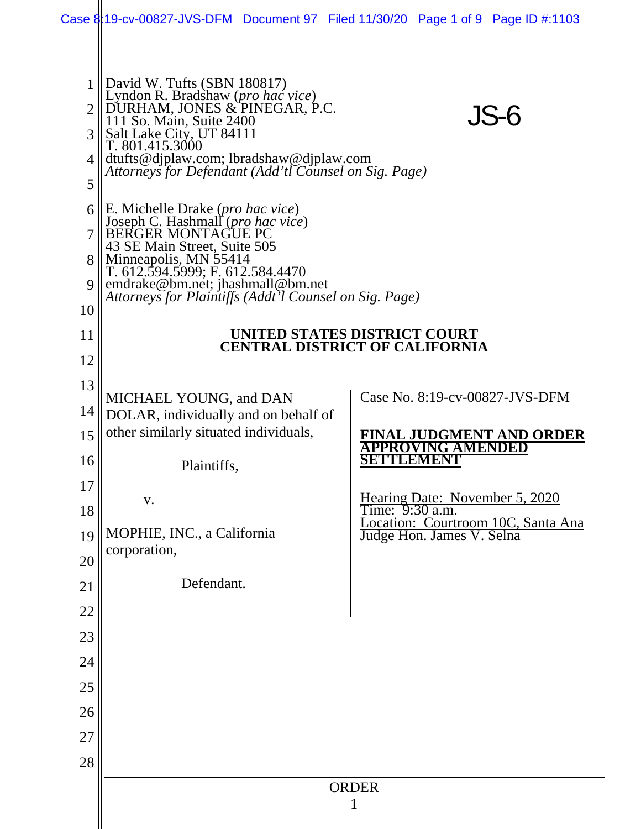|                            |                                                                                                                                                                                                                                                                                                                                                                                 |  |              | Case 8119-cv-00827-JVS-DFM Document 97 Filed 11/30/20 Page 1 of 9 Page ID #:1103                                     |
|----------------------------|---------------------------------------------------------------------------------------------------------------------------------------------------------------------------------------------------------------------------------------------------------------------------------------------------------------------------------------------------------------------------------|--|--------------|----------------------------------------------------------------------------------------------------------------------|
| 3<br>4<br>5                | David W. Tufts (SBN 180817)<br>Lyndon R. Bradshaw (pro hac vice)<br>DURHAM, JONES & PINEGAR, P.C.<br>111 So. Main, Suite 2400<br>JS-6<br>Salt Lake City, UT 84111<br>T. 801.415.3000<br>dtufts@djplaw.com; lbradshaw@djplaw.com<br>Attorneys for Defendant (Add'tl Counsel on Sig. Page)                                                                                        |  |              |                                                                                                                      |
| 6<br>9<br>10               | E. Michelle Drake ( <i>pro hac vice</i> )<br>Joseph C. Hashmall (pro hac vice)<br><b>BERGER MONTAGUE PC</b><br>43 SE Main Street, Suite 505<br>Minneapolis, MN 55414<br>T. 612.594.5999; F. 612.584.4470<br>emdrake@bm.net; jhashmall@bm.net<br>Attorneys for Plaintiffs (Addt'l Counsel on Sig. Page)<br>UNITED STATES DISTRICT COURT<br><b>CENTRAL DISTRICT OF CALIFORNIA</b> |  |              |                                                                                                                      |
| 11<br>12                   |                                                                                                                                                                                                                                                                                                                                                                                 |  |              |                                                                                                                      |
| 13<br>14<br>15<br>16<br>17 | MICHAEL YOUNG, and DAN<br>DOLAR, individually and on behalf of<br>other similarly situated individuals,<br>Plaintiffs.                                                                                                                                                                                                                                                          |  |              | Case No. 8:19-cv-00827-JVS-DFM<br>FINAL JUDGMENT AND ORDER<br>NG AMENDED<br>SETTILEMENT                              |
| 18<br>19<br>20             | V.<br>MOPHIE, INC., a California<br>corporation,                                                                                                                                                                                                                                                                                                                                |  |              | Hearing Date: November 5, 2020<br>Time: 9:30 a.m.<br>Location: Courtroom 10C, Santa Ana<br>Judge Hon. James V. Selna |
| 21<br>22<br>23             | Defendant.                                                                                                                                                                                                                                                                                                                                                                      |  |              |                                                                                                                      |
| 24                         |                                                                                                                                                                                                                                                                                                                                                                                 |  |              |                                                                                                                      |
| 25<br>26<br>27             |                                                                                                                                                                                                                                                                                                                                                                                 |  |              |                                                                                                                      |
| 28                         |                                                                                                                                                                                                                                                                                                                                                                                 |  | <b>ORDER</b> |                                                                                                                      |
|                            | 1                                                                                                                                                                                                                                                                                                                                                                               |  |              |                                                                                                                      |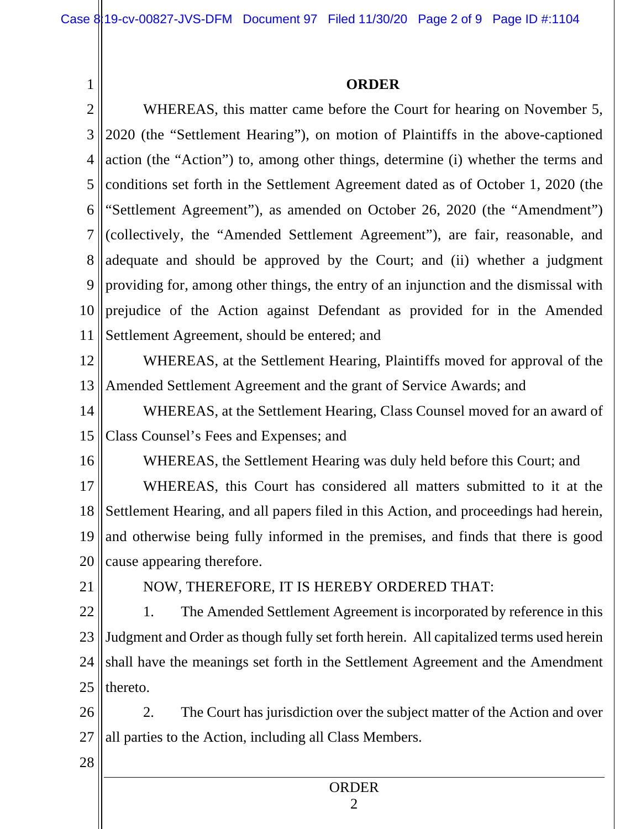## **ORDER**

1 2 3 4 5 6 7 8 9 10 11 12 13 14 15 16 17 18 19 20 21 22 23 24 25 26 27 28 WHEREAS, this matter came before the Court for hearing on November 5, 2020 (the "Settlement Hearing"), on motion of Plaintiffs in the above-captioned action (the "Action") to, among other things, determine (i) whether the terms and conditions set forth in the Settlement Agreement dated as of October 1, 2020 (the "Settlement Agreement"), as amended on October 26, 2020 (the "Amendment") (collectively, the "Amended Settlement Agreement"), are fair, reasonable, and adequate and should be approved by the Court; and (ii) whether a judgment providing for, among other things, the entry of an injunction and the dismissal with prejudice of the Action against Defendant as provided for in the Amended Settlement Agreement, should be entered; and WHEREAS, at the Settlement Hearing, Plaintiffs moved for approval of the Amended Settlement Agreement and the grant of Service Awards; and WHEREAS, at the Settlement Hearing, Class Counsel moved for an award of Class Counsel's Fees and Expenses; and WHEREAS, the Settlement Hearing was duly held before this Court; and WHEREAS, this Court has considered all matters submitted to it at the Settlement Hearing, and all papers filed in this Action, and proceedings had herein, and otherwise being fully informed in the premises, and finds that there is good cause appearing therefore. NOW, THEREFORE, IT IS HEREBY ORDERED THAT: 1. The Amended Settlement Agreement is incorporated by reference in this Judgment and Order as though fully set forth herein. All capitalized terms used herein shall have the meanings set forth in the Settlement Agreement and the Amendment thereto. 2. The Court has jurisdiction over the subject matter of the Action and over all parties to the Action, including all Class Members.

## ORDER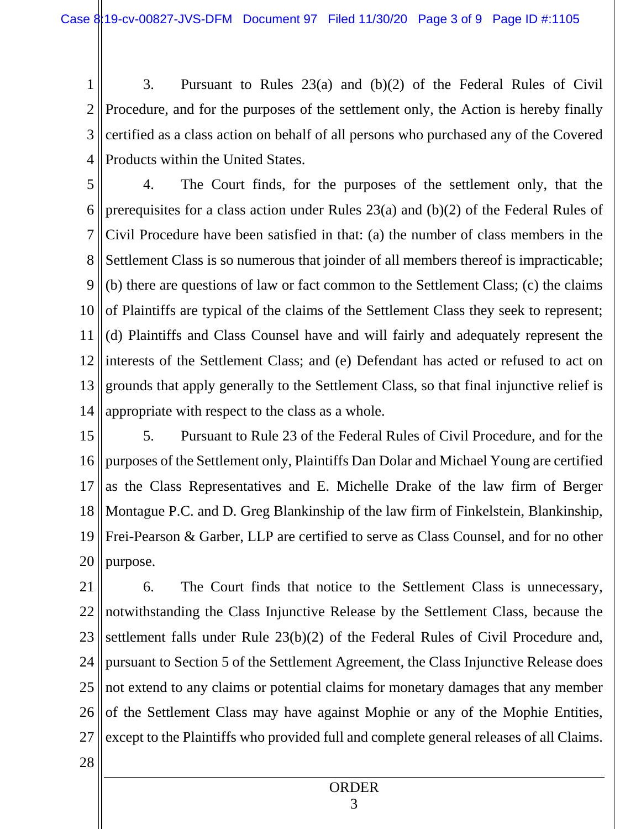1 2 3 4 3. Pursuant to Rules 23(a) and (b)(2) of the Federal Rules of Civil Procedure, and for the purposes of the settlement only, the Action is hereby finally certified as a class action on behalf of all persons who purchased any of the Covered Products within the United States.

5 6 7 8 9 10 11 12 13 14 4. The Court finds, for the purposes of the settlement only, that the prerequisites for a class action under Rules 23(a) and (b)(2) of the Federal Rules of Civil Procedure have been satisfied in that: (a) the number of class members in the Settlement Class is so numerous that joinder of all members thereof is impracticable; (b) there are questions of law or fact common to the Settlement Class; (c) the claims of Plaintiffs are typical of the claims of the Settlement Class they seek to represent; (d) Plaintiffs and Class Counsel have and will fairly and adequately represent the interests of the Settlement Class; and (e) Defendant has acted or refused to act on grounds that apply generally to the Settlement Class, so that final injunctive relief is appropriate with respect to the class as a whole.

15 16 17 18 19 20 5. Pursuant to Rule 23 of the Federal Rules of Civil Procedure, and for the purposes of the Settlement only, Plaintiffs Dan Dolar and Michael Young are certified as the Class Representatives and E. Michelle Drake of the law firm of Berger Montague P.C. and D. Greg Blankinship of the law firm of Finkelstein, Blankinship, Frei-Pearson & Garber, LLP are certified to serve as Class Counsel, and for no other purpose.

21 22 23 24 25 26 27 6. The Court finds that notice to the Settlement Class is unnecessary, notwithstanding the Class Injunctive Release by the Settlement Class, because the settlement falls under Rule 23(b)(2) of the Federal Rules of Civil Procedure and, pursuant to Section 5 of the Settlement Agreement, the Class Injunctive Release does not extend to any claims or potential claims for monetary damages that any member of the Settlement Class may have against Mophie or any of the Mophie Entities, except to the Plaintiffs who provided full and complete general releases of all Claims.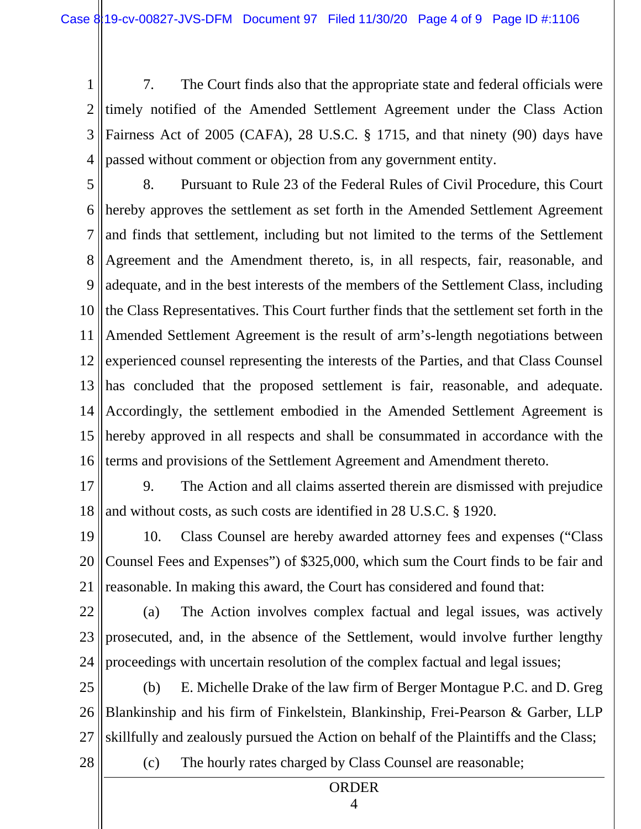1 2 3 4 7. The Court finds also that the appropriate state and federal officials were timely notified of the Amended Settlement Agreement under the Class Action Fairness Act of 2005 (CAFA), 28 U.S.C. § 1715, and that ninety (90) days have passed without comment or objection from any government entity.

5 6 7 8 9 10 11 12 13 14 15 16 8. Pursuant to Rule 23 of the Federal Rules of Civil Procedure, this Court hereby approves the settlement as set forth in the Amended Settlement Agreement and finds that settlement, including but not limited to the terms of the Settlement Agreement and the Amendment thereto, is, in all respects, fair, reasonable, and adequate, and in the best interests of the members of the Settlement Class, including the Class Representatives. This Court further finds that the settlement set forth in the Amended Settlement Agreement is the result of arm's-length negotiations between experienced counsel representing the interests of the Parties, and that Class Counsel has concluded that the proposed settlement is fair, reasonable, and adequate. Accordingly, the settlement embodied in the Amended Settlement Agreement is hereby approved in all respects and shall be consummated in accordance with the terms and provisions of the Settlement Agreement and Amendment thereto.

17

18 9. The Action and all claims asserted therein are dismissed with prejudice and without costs, as such costs are identified in 28 U.S.C. § 1920.

19 20 21 10. Class Counsel are hereby awarded attorney fees and expenses ("Class Counsel Fees and Expenses") of \$325,000, which sum the Court finds to be fair and reasonable. In making this award, the Court has considered and found that:

22 23 24 (a) The Action involves complex factual and legal issues, was actively prosecuted, and, in the absence of the Settlement, would involve further lengthy proceedings with uncertain resolution of the complex factual and legal issues;

25 26 27 (b) E. Michelle Drake of the law firm of Berger Montague P.C. and D. Greg Blankinship and his firm of Finkelstein, Blankinship, Frei-Pearson & Garber, LLP skillfully and zealously pursued the Action on behalf of the Plaintiffs and the Class;

28

(c) The hourly rates charged by Class Counsel are reasonable;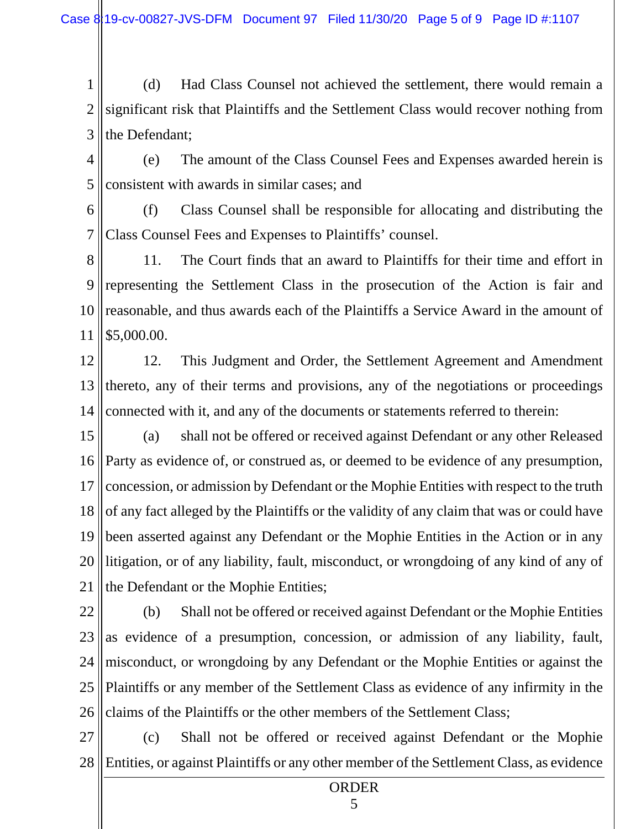1 2 3 (d) Had Class Counsel not achieved the settlement, there would remain a significant risk that Plaintiffs and the Settlement Class would recover nothing from the Defendant;

4 5 (e) The amount of the Class Counsel Fees and Expenses awarded herein is consistent with awards in similar cases; and

6 7 (f) Class Counsel shall be responsible for allocating and distributing the Class Counsel Fees and Expenses to Plaintiffs' counsel.

8 9 10 11 11. The Court finds that an award to Plaintiffs for their time and effort in representing the Settlement Class in the prosecution of the Action is fair and reasonable, and thus awards each of the Plaintiffs a Service Award in the amount of \$5,000.00.

12 13 14 12. This Judgment and Order, the Settlement Agreement and Amendment thereto, any of their terms and provisions, any of the negotiations or proceedings connected with it, and any of the documents or statements referred to therein:

15 16 17 18 19 20 21 (a) shall not be offered or received against Defendant or any other Released Party as evidence of, or construed as, or deemed to be evidence of any presumption, concession, or admission by Defendant or the Mophie Entities with respect to the truth of any fact alleged by the Plaintiffs or the validity of any claim that was or could have been asserted against any Defendant or the Mophie Entities in the Action or in any litigation, or of any liability, fault, misconduct, or wrongdoing of any kind of any of the Defendant or the Mophie Entities;

22 23 24 25 26 (b) Shall not be offered or received against Defendant or the Mophie Entities as evidence of a presumption, concession, or admission of any liability, fault, misconduct, or wrongdoing by any Defendant or the Mophie Entities or against the Plaintiffs or any member of the Settlement Class as evidence of any infirmity in the claims of the Plaintiffs or the other members of the Settlement Class;

27 28 (c) Shall not be offered or received against Defendant or the Mophie Entities, or against Plaintiffs or any other member of the Settlement Class, as evidence

ORDER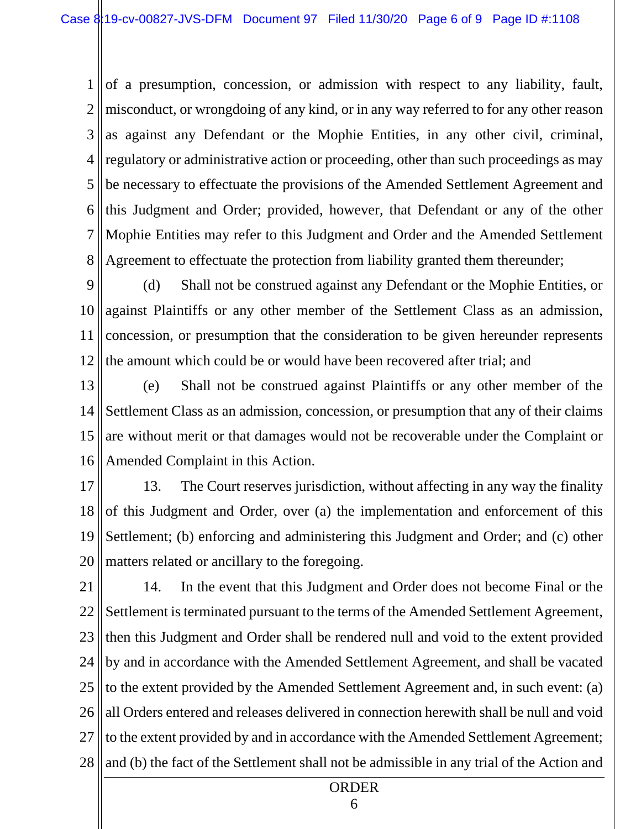1 2 3 4 5 6 7 8 of a presumption, concession, or admission with respect to any liability, fault, misconduct, or wrongdoing of any kind, or in any way referred to for any other reason as against any Defendant or the Mophie Entities, in any other civil, criminal, regulatory or administrative action or proceeding, other than such proceedings as may be necessary to effectuate the provisions of the Amended Settlement Agreement and this Judgment and Order; provided, however, that Defendant or any of the other Mophie Entities may refer to this Judgment and Order and the Amended Settlement Agreement to effectuate the protection from liability granted them thereunder;

9 10 11 12 (d) Shall not be construed against any Defendant or the Mophie Entities, or against Plaintiffs or any other member of the Settlement Class as an admission, concession, or presumption that the consideration to be given hereunder represents the amount which could be or would have been recovered after trial; and

13 14 15 16 (e) Shall not be construed against Plaintiffs or any other member of the Settlement Class as an admission, concession, or presumption that any of their claims are without merit or that damages would not be recoverable under the Complaint or Amended Complaint in this Action.

17 18 19 20 13. The Court reserves jurisdiction, without affecting in any way the finality of this Judgment and Order, over (a) the implementation and enforcement of this Settlement; (b) enforcing and administering this Judgment and Order; and (c) other matters related or ancillary to the foregoing.

21 22 23 24 25 26 27 28 14. In the event that this Judgment and Order does not become Final or the Settlement is terminated pursuant to the terms of the Amended Settlement Agreement, then this Judgment and Order shall be rendered null and void to the extent provided by and in accordance with the Amended Settlement Agreement, and shall be vacated to the extent provided by the Amended Settlement Agreement and, in such event: (a) all Orders entered and releases delivered in connection herewith shall be null and void to the extent provided by and in accordance with the Amended Settlement Agreement; and (b) the fact of the Settlement shall not be admissible in any trial of the Action and

ORDER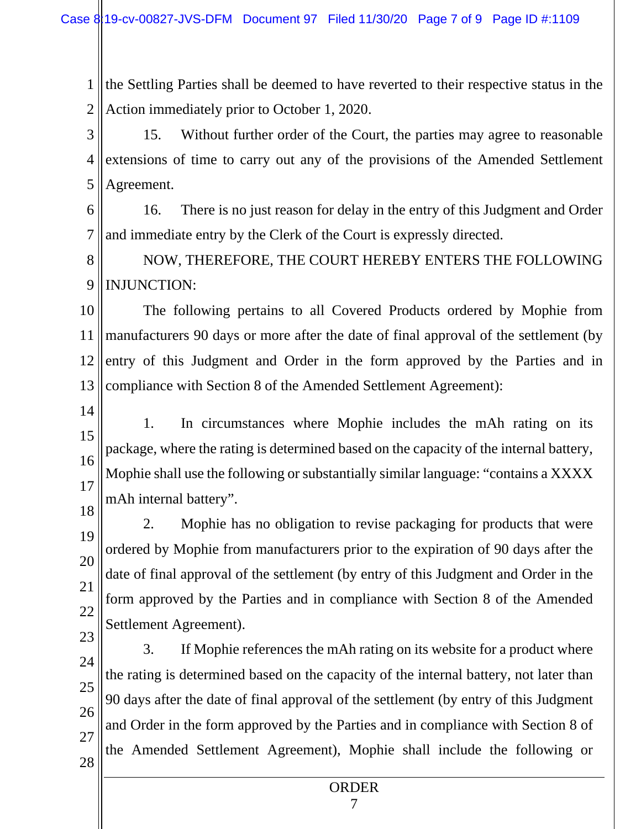1 2 the Settling Parties shall be deemed to have reverted to their respective status in the Action immediately prior to October 1, 2020.

3 4 5 15. Without further order of the Court, the parties may agree to reasonable extensions of time to carry out any of the provisions of the Amended Settlement Agreement.

6 7 16. There is no just reason for delay in the entry of this Judgment and Order and immediate entry by the Clerk of the Court is expressly directed.

8 9 NOW, THEREFORE, THE COURT HEREBY ENTERS THE FOLLOWING INJUNCTION:

10 11 12 13 The following pertains to all Covered Products ordered by Mophie from manufacturers 90 days or more after the date of final approval of the settlement (by entry of this Judgment and Order in the form approved by the Parties and in compliance with Section 8 of the Amended Settlement Agreement):

14

15 16 17 1. In circumstances where Mophie includes the mAh rating on its package, where the rating is determined based on the capacity of the internal battery, Mophie shall use the following or substantially similar language: "contains a XXXX mAh internal battery".

18 19 20 21 22 2. Mophie has no obligation to revise packaging for products that were ordered by Mophie from manufacturers prior to the expiration of 90 days after the date of final approval of the settlement (by entry of this Judgment and Order in the form approved by the Parties and in compliance with Section 8 of the Amended Settlement Agreement).

23 24 25 26 27 28 3. If Mophie references the mAh rating on its website for a product where the rating is determined based on the capacity of the internal battery, not later than 90 days after the date of final approval of the settlement (by entry of this Judgment and Order in the form approved by the Parties and in compliance with Section 8 of the Amended Settlement Agreement), Mophie shall include the following or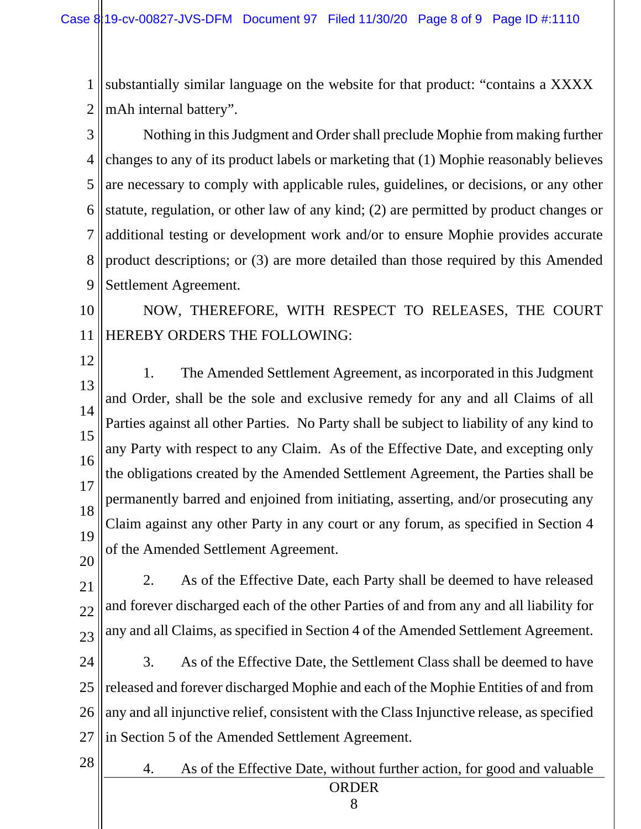1 2 substantially similar language on the website for that product: "contains a XXXX mAh internal battery".

3 4 5 6 7 8 9 Nothing in this Judgment and Order shall preclude Mophie from making further changes to any of its product labels or marketing that (1) Mophie reasonably believes are necessary to comply with applicable rules, guidelines, or decisions, or any other statute, regulation, or other law of any kind; (2) are permitted by product changes or additional testing or development work and/or to ensure Mophie provides accurate product descriptions; or (3) are more detailed than those required by this Amended Settlement Agreement.

10 11 NOW, THEREFORE, WITH RESPECT TO RELEASES, THE COURT HEREBY ORDERS THE FOLLOWING:

12

13 14 15 16 17 18 19 20 1. The Amended Settlement Agreement, as incorporated in this Judgment and Order, shall be the sole and exclusive remedy for any and all Claims of all Parties against all other Parties. No Party shall be subject to liability of any kind to any Party with respect to any Claim. As of the Effective Date, and excepting only the obligations created by the Amended Settlement Agreement, the Parties shall be permanently barred and enjoined from initiating, asserting, and/or prosecuting any Claim against any other Party in any court or any forum, as specified in Section 4 of the Amended Settlement Agreement.

21 22 23 2. As of the Effective Date, each Party shall be deemed to have released and forever discharged each of the other Parties of and from any and all liability for any and all Claims, as specified in Section 4 of the Amended Settlement Agreement.

24 25 26 27 3. As of the Effective Date, the Settlement Class shall be deemed to have released and forever discharged Mophie and each of the Mophie Entities of and from any and all injunctive relief, consistent with the Class Injunctive release, as specified in Section 5 of the Amended Settlement Agreement.

28

ORDER 4. As of the Effective Date, without further action, for good and valuable